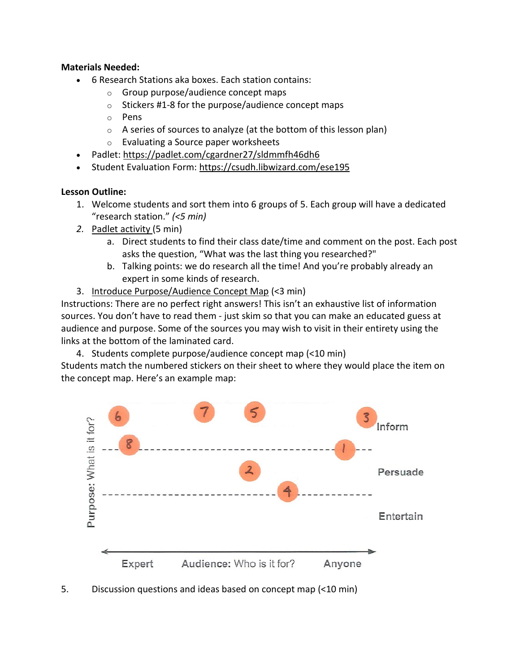## **Materials Needed:**

- 6 Research Stations aka boxes. Each station contains:
	- o Group purpose/audience concept maps
	- $\circ$  Stickers #1-8 for the purpose/audience concept maps
	- o Pens
	- $\circ$  A series of sources to analyze (at the bottom of this lesson plan)
	- o Evaluating a Source paper worksheets
- Padlet:<https://padlet.com/cgardner27/sldmmfh46dh6>
- Student Evaluation Form:<https://csudh.libwizard.com/ese195>

## **Lesson Outline:**

- 1. Welcome students and sort them into 6 groups of 5. Each group will have a dedicated "research station." *(<5 min)*
- *2.* Padlet activity (5 min)
	- a. Direct students to find their class date/time and comment on the post. Each post asks the question, "What was the last thing you researched?"
	- b. Talking points: we do research all the time! And you're probably already an expert in some kinds of research.
- 3. Introduce Purpose/Audience Concept Map (<3 min)

Instructions: There are no perfect right answers! This isn't an exhaustive list of information sources. You don't have to read them - just skim so that you can make an educated guess at audience and purpose. Some of the sources you may wish to visit in their entirety using the links at the bottom of the laminated card.

4. Students complete purpose/audience concept map (<10 min)

Students match the numbered stickers on their sheet to where they would place the item on the concept map. Here's an example map:



5. Discussion questions and ideas based on concept map (<10 min)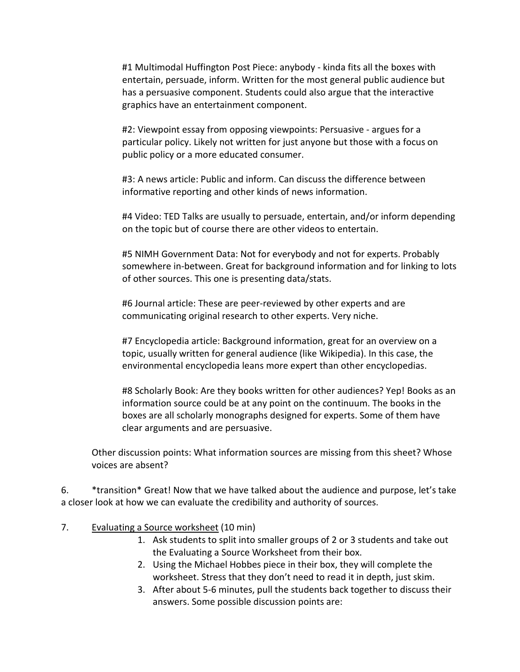#1 Multimodal Huffington Post Piece: anybody - kinda fits all the boxes with entertain, persuade, inform. Written for the most general public audience but has a persuasive component. Students could also argue that the interactive graphics have an entertainment component.

#2: Viewpoint essay from opposing viewpoints: Persuasive - argues for a particular policy. Likely not written for just anyone but those with a focus on public policy or a more educated consumer.

#3: A news article: Public and inform. Can discuss the difference between informative reporting and other kinds of news information.

#4 Video: TED Talks are usually to persuade, entertain, and/or inform depending on the topic but of course there are other videos to entertain.

#5 NIMH Government Data: Not for everybody and not for experts. Probably somewhere in-between. Great for background information and for linking to lots of other sources. This one is presenting data/stats.

#6 Journal article: These are peer-reviewed by other experts and are communicating original research to other experts. Very niche.

#7 Encyclopedia article: Background information, great for an overview on a topic, usually written for general audience (like Wikipedia). In this case, the environmental encyclopedia leans more expert than other encyclopedias.

#8 Scholarly Book: Are they books written for other audiences? Yep! Books as an information source could be at any point on the continuum. The books in the boxes are all scholarly monographs designed for experts. Some of them have clear arguments and are persuasive.

Other discussion points: What information sources are missing from this sheet? Whose voices are absent?

6. \*transition\* Great! Now that we have talked about the audience and purpose, let's take a closer look at how we can evaluate the credibility and authority of sources.

- 7. Evaluating a Source worksheet (10 min)
	- 1. Ask students to split into smaller groups of 2 or 3 students and take out the Evaluating a Source Worksheet from their box.
	- 2. Using the Michael Hobbes piece in their box, they will complete the worksheet. Stress that they don't need to read it in depth, just skim.
	- 3. After about 5-6 minutes, pull the students back together to discuss their answers. Some possible discussion points are: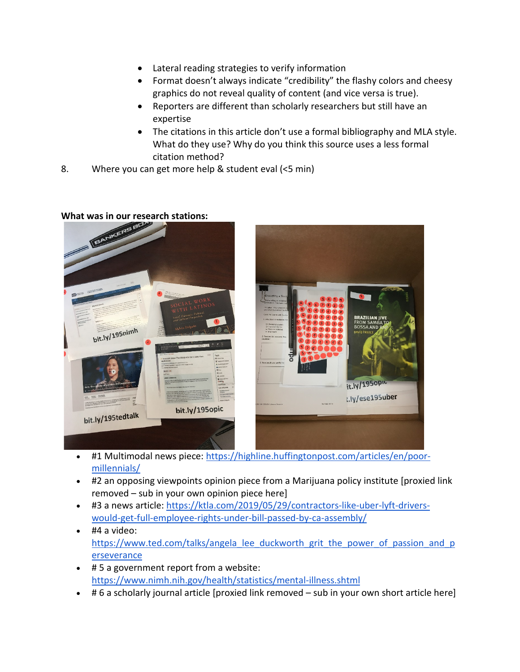- Lateral reading strategies to verify information
- Format doesn't always indicate "credibility" the flashy colors and cheesy graphics do not reveal quality of content (and vice versa is true).
- Reporters are different than scholarly researchers but still have an expertise
- The citations in this article don't use a formal bibliography and MLA style. What do they use? Why do you think this source uses a less formal citation method?
- 8. Where you can get more help & student eval (<5 min)







- #1 Multimodal news piece: [https://highline.huffingtonpost.com/articles/en/poor](https://highline.huffingtonpost.com/articles/en/poor-millennials/)[millennials/](https://highline.huffingtonpost.com/articles/en/poor-millennials/)
- #2 an opposing viewpoints opinion piece from a Marijuana policy institute [proxied link removed – sub in your own opinion piece here]
- #3 a news article: [https://ktla.com/2019/05/29/contractors-like-uber-lyft-drivers](https://ktla.com/2019/05/29/contractors-like-uber-lyft-drivers-would-get-full-employee-rights-under-bill-passed-by-ca-assembly/)[would-get-full-employee-rights-under-bill-passed-by-ca-assembly/](https://ktla.com/2019/05/29/contractors-like-uber-lyft-drivers-would-get-full-employee-rights-under-bill-passed-by-ca-assembly/)
- #4 a video: [https://www.ted.com/talks/angela\\_lee\\_duckworth\\_grit\\_the\\_power\\_of\\_passion\\_and\\_p](https://www.ted.com/talks/angela_lee_duckworth_grit_the_power_of_passion_and_perseverance) [erseverance](https://www.ted.com/talks/angela_lee_duckworth_grit_the_power_of_passion_and_perseverance)
- # 5 a government report from a website: <https://www.nimh.nih.gov/health/statistics/mental-illness.shtml>
- # 6 a scholarly journal article [proxied link removed sub in your own short article here]